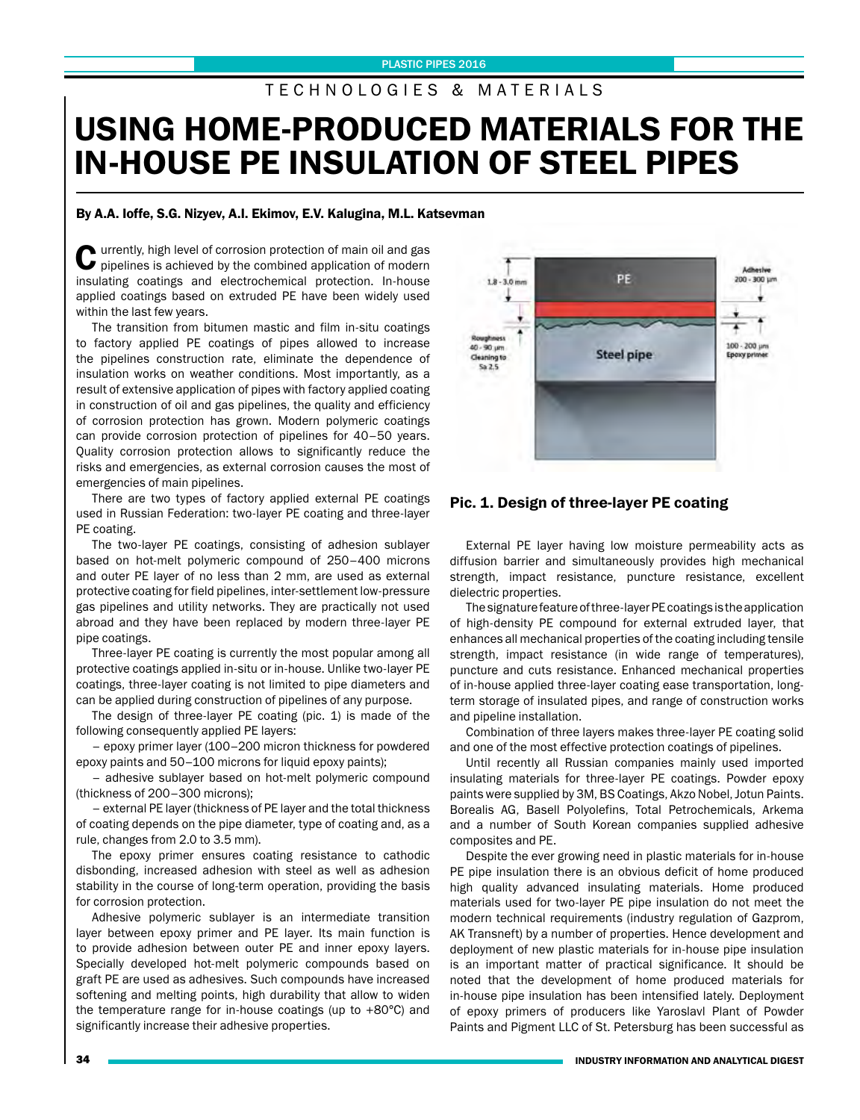## T E C H N O L O G I E S & M A T E R I A L S

# USING HOME-PRODUCED MATERIALS FOR THE IN-HOUSE PE INSULATION OF STEEL PIPES

### By A.A. Ioffe, S.G. Nizyev, A.I. Ekimov, E.V. Kalugina, M.L. Katsevman

Currently, high level of corrosion protection of main oil and gas pipelines is achieved by the combined application of modern insulating coatings and electrochemical protection. In-house applied coatings based on extruded PE have been widely used within the last few years.

The transition from bitumen mastic and film in-situ coatings to factory applied PE coatings of pipes allowed to increase the pipelines construction rate, eliminate the dependence of insulation works on weather conditions. Most importantly, as a result of extensive application of pipes with factory applied coating in construction of oil and gas pipelines, the quality and efficiency of corrosion protection has grown. Modern polymeric coatings can provide corrosion protection of pipelines for 40–50 years. Quality corrosion protection allows to significantly reduce the risks and emergencies, as external corrosion causes the most of emergencies of main pipelines.

There are two types of factory applied external PE coatings used in Russian Federation: two-layer PE coating and three-layer PE coating.

The two-layer PE coatings, consisting of adhesion sublayer based on hot-melt polymeric compound of 250–400 microns and outer PE layer of no less than 2 mm, are used as external protective coating for field pipelines, inter-settlement low-pressure gas pipelines and utility networks. They are practically not used abroad and they have been replaced by modern three-layer PE pipe coatings.

Three-layer PE coating is currently the most popular among all protective coatings applied in-situ or in-house. Unlike two-layer PE coatings, three-layer coating is not limited to pipe diameters and can be applied during construction of pipelines of any purpose.

The design of three-layer PE coating (pic. 1) is made of the following consequently applied PE layers:

– epoxy primer layer (100–200 micron thickness for powdered epoxy paints and 50–100 microns for liquid epoxy paints):

– adhesive sublayer based on hot-melt polymeric compound (thickness of 200–300 microns);

– external PE layer (thickness of PE layer and the total thickness of coating depends on the pipe diameter, type of coating and, as a rule, changes from 2.0 to 3.5 mm).

The epoxy primer ensures coating resistance to cathodic disbonding, increased adhesion with steel as well as adhesion stability in the course of long-term operation, providing the basis for corrosion protection.

Adhesive polymeric sublayer is an intermediate transition layer between epoxy primer and PE layer. Its main function is to provide adhesion between outer PE and inner epoxy layers. Specially developed hot-melt polymeric compounds based on graft PE are used as adhesives. Such compounds have increased softening and melting points, high durability that allow to widen the temperature range for in-house coatings (up to +80°С) and significantly increase their adhesive properties.



#### Pic. 1. Design of three-layer PE coating

External PE layer having low moisture permeability acts as diffusion barrier and simultaneously provides high mechanical strength, impact resistance, puncture resistance, excellent dielectric properties.

The signature feature of three-layer PE coatings is the application of high-density PE compound for external extruded layer, that enhances all mechanical properties of the coating including tensile strength, impact resistance (in wide range of temperatures), puncture and cuts resistance. Enhanced mechanical properties of in-house applied three-layer coating ease transportation, longterm storage of insulated pipes, and range of construction works and pipeline installation.

Combination of three layers makes three-layer PE coating solid and one of the most effective protection coatings of pipelines.

Until recently all Russian companies mainly used imported insulating materials for three-layer PE coatings. Powder epoxy paints were supplied by 3M, BS Coatings, Akzo Nobel, Jotun Paints. Borealis AG, Basell Polyolefins, Total Petrochemicals, Arkema and a number of South Korean companies supplied adhesive composites and PE.

Despite the ever growing need in plastic materials for in-house PE pipe insulation there is an obvious deficit of home produced high quality advanced insulating materials. Home produced materials used for two-layer PE pipe insulation do not meet the modern technical requirements (industry regulation of Gazprom, AK Transneft) by a number of properties. Hence development and deployment of new plastic materials for in-house pipe insulation is an important matter of practical significance. It should be noted that the development of home produced materials for in-house pipe insulation has been intensified lately. Deployment of epoxy primers of producers like Yaroslavl Plant of Powder Paints and Pigment LLC of St. Petersburg has been successful as